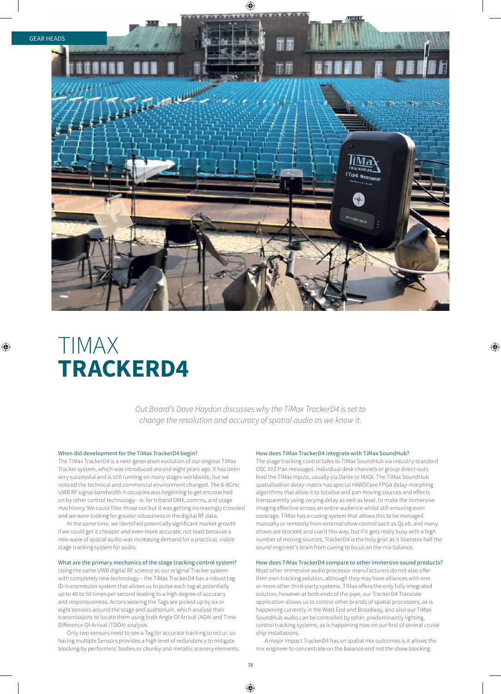

# TIMAX **TRACKERD4**

*Out Board's Dave Haydon discusses why the TiMax TrackerD4 is set to change the resolution and accuracy of spatial audio as we know it.*

#### When did development for the TiMax TrackerD4 begin?

The TiMax TrackerD4 is a next-generation evolution of our original TiMax Tracker system, which was introduced around eight years ago. It has been very successful and is still running on many stages worldwide, but we noticed the technical and commercial environment changed. The 6-8GHz UWB RF signal bandwidth it occupies was beginning to get encroached on by other control technology– ie. for triband DMX, comms, and stage machinery. We could filter those out but it was getting increasingly crowded and we were looking for greater robustness in the digital RF data.

At the same time, we identified potentially significant market growth if we could get it cheaper and even more accurate, not least because a new wave of spatial audio was increasing demand for a practical, viable stage tracking system for audio.

### What are the primary mechanics of the stage tracking control system?

Using the same UWB digital RF science as our original Tracker system with completely new technology – the TiMax TrackerD4 has a robust tag ID-transmission system that allows us to pulse each tag at potentially up to 40 to 50 times per second leading to a high degree of accuracy and responsiveness. Actors wearing the Tags are picked up by six or eight sensors around the stage and auditorium, which analyse their transmissions to locate them using both Angle Of Arrival (AOA) and Time Difference Of Arrival (TDOA) analysis.

Only two sensors need to see a Tag for accurate tracking to occur, so having multiple Sensors provides a high level of redundancy to mitigate blocking by performers' bodies or chunky and metallic scenery elements.

#### How does TiMax TrackerD4 integrate with TiMax SoundHub?

The stage tracking control talks to TiMax SoundHub via industry-standard OSC XYZ Pan messages. Individual desk channels or group direct-outs feed the TiMax inputs, usually via Dante or MADI. The TiMax SoundHub spatialisation delay-matrix has special HARDCore FPGA delay-morphing algorithms that allow it to localise and pan moving sources and effects transparently using varying delay as well as level, to make the immersive imaging effective across an entire audience whilst still ensuring even coverage. TiMax has a cueing system that allows this to be managed manually or remotely from external show control such as QLab, and many shows are blocked and cue'd this way, but if it gets really busy with a high number of moving sources, TrackerD4 is the holy grail as it liberates half the sound engineer's brain from cueing to focus on the mix balance.

#### How does TiMax TrackerD4 compare to other immersive sound products?

Most other immersive audio processor manufacturers do not also offer their own tracking solution, although they may have alliances with one or more other third-party systems. TiMax offers the only fully integrated solution, however at both ends of the pipe, our TrackerD4 Translate application allows us to control other brands of spatial processors, as is happening currently in the West End and Broadway, and also our TiMax SoundHub audio can be controlled by other, predominantly lighting, control tracking systems, as is happening now on our first of several cruise ship installations.

A major impact TrackerD4 has on spatial mix outcomes is it allows the mix engineer to concentrate on the balance and not the show blocking